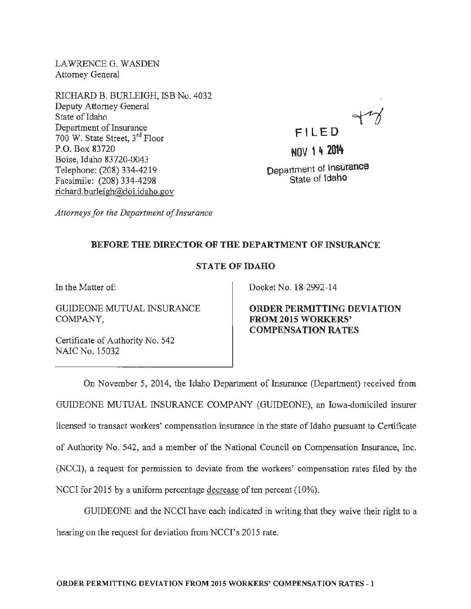LAWRENCE G. WASDEN Attorney General

RICHARD B. BURLEIGH, ISB No. 4032 Deputy Attorney General State of Idaho Department of Insurance 700 W. State Street, 3rd Floor P.O. Box 83720 Boise, Idaho 83720-0043 Telephone: (208) 334-4219 Facsimile: (208) 334-4298 richard. burleigh@doi.idaho.gov

NOV **1 4** 20t~

FILED

Department of Insurance State of Idaho

*Attorneys for the Department of Insurance* 

## BEFORE THE DIRECTOR OF THE DEPARTMENT OF INSURANCE

## STATE OF IDAHO

In the Matter of:

GUIDEONE MUTUAL INSURANCE COMPANY,

Certificate of Authority No. 542 NAIC No. 15032

Docket No. 18-2992-14

ORDER PERMITTING DEVIATION FROM 2015 WORKERS' COMPENSATION RATES

On November 5, 2014, the Idaho Department of Insurance (Department) received from GUIDEONE MUTUAL INSURANCE COMPANY (GUIDEONE), an Iowa-domiciled insurer licensed to transact workers' compensation insurance in the state of Idaho pursuant to Certificate of Authority No. 542, and a member of the National Council on Compensation Insurance, Inc. (NCCI), a request for permission to deviate from the workers' compensation rates filed by the NCCI for 2015 by a uniform percentage decrease of ten percent (10%).

GUIDEONE and the NCCI have each indicated in writing that they waive their right to a hearing on the request for deviation from NCCI's 2015 rate.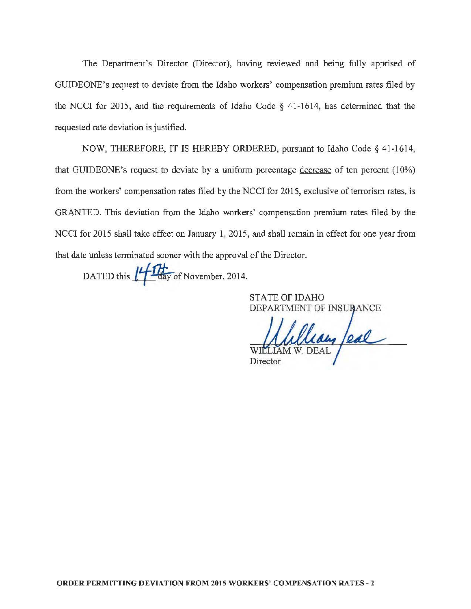The Department's Director (Director), having reviewed and being fully apprised of GUIDEONE's request to deviate from the Idaho workers' compensation premium rates filed by the NCCI for 2015, and the requirements of Idaho Code § 41~1614, has determined that the requested rate deviation is justified.

NOW, THEREFORE, IT IS HEREBY ORDERED, pursuant to Idaho Code§ 41~1614, that GUIDEONE's request to deviate by a uniform percentage decrease of ten percent (10%) from the workers' compensation rates filed by the NCCI for 2015, exclusive of terrorism rates, is GRANTED. This deviation from the Idaho workers' compensation premium rates filed by the NCCI for 2015 shall take effect on January 1, 2015, and shall remain in effect for one year from that date unless terminated sooner with the approval of the Director.

DATED this  $\frac{14}{14}$  day of November, 2014.

STATE OF IDAHO

DEPARTMENT OF INSURANCE WI

Director